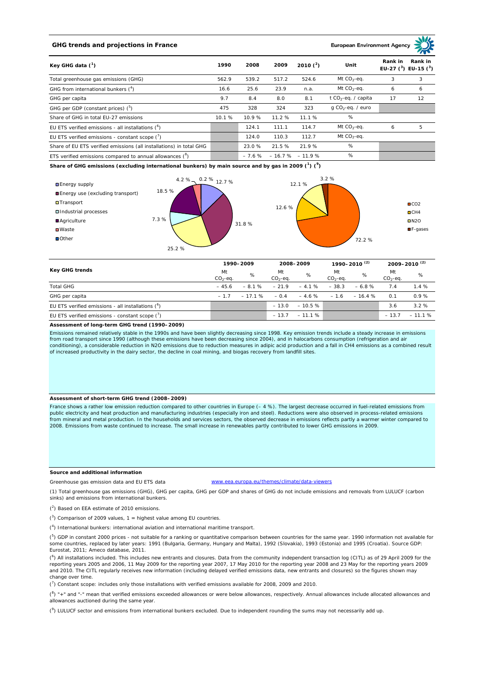# **GHG trends and projections in France**

**European Environment Ag** 

| Key GHG data $(^1)$                                                 | 1990  | 2008  | 2009                       | 2010 $(^{2})$ | Unit                            | Rank in<br>Rank in<br>EU-27 $(^3)$ EU-15 $(^3)$ |    |
|---------------------------------------------------------------------|-------|-------|----------------------------|---------------|---------------------------------|-------------------------------------------------|----|
| Total greenhouse gas emissions (GHG)                                | 562.9 | 539.2 | 517.2                      | 524.6         | Mt $CO2$ -eq.                   | 3                                               | 3  |
| GHG from international bunkers $(^4)$                               | 16.6  | 25.6  | 23.9                       | n.a.          | Mt $CO_2$ -eq.                  | 6                                               | 6  |
| GHG per capita                                                      | 9.7   | 8.4   | 8.0                        | 8.1           | t CO <sub>2</sub> -eq. / capita | 17                                              | 12 |
| GHG per GDP (constant prices) $(^5)$                                | 475   | 328   | 324                        | 323           | $q$ CO <sub>2</sub> -eq. / euro |                                                 |    |
| Share of GHG in total EU-27 emissions                               | 10.1% | 10.9% | 11.2 %                     | 11.1%         | %                               |                                                 |    |
| EU ETS verified emissions - all installations $(°)$                 |       | 124.1 | 111.1                      | 114.7         | Mt $CO_2$ -eq.                  | 6                                               | 5  |
| EU ETS verified emissions - constant scope $(\vec{r})$              |       | 124.0 | 110.3                      | 112.7         | Mt $CO_2$ -eq.                  |                                                 |    |
| Share of EU ETS verified emissions (all installations) in total GHG |       | 23.0% | 21.5 %                     | 21.9%         | %                               |                                                 |    |
| ETS verified emissions compared to annual allowances $(^8)$         |       |       | $-7.6\% - 16.7\% - 11.9\%$ |               | %                               |                                                 |    |

**Share of GHG emissions (excluding international bunkers) by main source and by gas in 2009 (<sup>1</sup> ) (<sup>9</sup> )**



| Key GHG trends                                       |                 | 1990-2009 |                 | 2008-2009 |                 | 1990-2010 <sup>(2)</sup> |                 | 2009-2010 <sup>(2)</sup> |  |
|------------------------------------------------------|-----------------|-----------|-----------------|-----------|-----------------|--------------------------|-----------------|--------------------------|--|
|                                                      | Mt<br>$CO2-eq.$ | %         | Mt<br>$CO2-eq.$ | %         | Mt<br>$CO2-eq.$ | %                        | Mt<br>$CO2-eq.$ | %                        |  |
| <b>Total GHG</b>                                     | $-45.6$         | $-8.1%$   | $-21.9$         | $-4.1%$   | $-38.3$         | $-6.8%$                  | 7.4             | 1.4%                     |  |
| GHG per capita                                       | $-17$           | $-17.1%$  | $-0.4$          | $-4.6%$   | $-1.6$          | $-16.4%$                 | 0.1             | 0.9%                     |  |
| EU ETS verified emissions - all installations $(^6)$ |                 |           | $-13.0$         | $-10.5%$  |                 |                          | 3.6             | 3.2%                     |  |
| EU ETS verified emissions - constant scope $(7)$     |                 |           | $-13.7$         | $-11.1%$  |                 |                          | $-13.7$         | $-11.1%$                 |  |

### **Assessment of long-term GHG trend (1990–2009)**

Emissions remained relatively stable in the 1990s and have been slightly decreasing since 1998. Key emission trends include a steady increase in emissions from road transport since 1990 (although these emissions have been decreasing since 2004), and in halocarbons consumption (refrigeration and air conditioning), a considerable reduction in N2O emissions due to reduction measures in adipic acid production and a fall in CH4 emissions as a combined result of increased productivity in the dairy sector, the decline in coal mining, and biogas recovery from landfill sites.

## **Assessment of short-term GHG trend (2008–2009)**

France shows a rather low emission reduction compared to other countries in Europe (– 4 %). The largest decrease occurred in fuel-related emissions from public electricity and heat production and manufacturing industries (especially iron and steel). Reductions were also observed in process-related emissions from mineral and metal production. In the households and services sectors, the observed decrease in emissions reflects partly a warmer winter compared to 2008. Emissions from waste continued to increase. The small increase in renewables partly contributed to lower GHG emissions in 2009.

## **Source and additional information**

www.eea.europa.eu/themes/climate/data-viewers

(1) Total greenhouse gas emissions (GHG), GHG per capita, GHG per GDP and shares of GHG do not include emissions and removals from LULUCF (carbon sinks) and emissions from international bunkers.

( 2 ) Based on EEA estimate of 2010 emissions.

Greenhouse gas emission data and EU ETS data

 $(3)$  Comparison of 2009 values, 1 = highest value among EU countries.

( 4 ) International bunkers: international aviation and international maritime transport.

 $(^{5})$  GDP in constant 2000 prices - not suitable for a ranking or quantitative comparison between countries for the same year. 1990 information not available for some countries, replaced by later years: 1991 (Bulgaria, Germany, Hungary and Malta), 1992 (Slovakia), 1993 (Estonia) and 1995 (Croatia). Source GDP: Eurostat, 2011; Ameco database, 2011.

(<sup>6</sup>) All installations included. This includes new entrants and closures. Data from the community independent transaction log (CITL) as of 29 April 2009 for the<br>reporting years 2005 and 2006, 11 May 2009 for the reporting and 2010. The CITL regularly receives new information (including delayed verified emissions data, new entrants and closures) so the figures shown may change over time.

 $\binom{7}{1}$  Constant scope: includes only those installations with verified emissions available for 2008, 2009 and 2010.

 $(^{8}$ ) " $+$ " and "-" mean that verified emissions exceeded allowances or were below allowances, respectively. Annual allowances include allocated allowances and allowances auctioned during the same year.

 $(2)$  LULUCF sector and emissions from international bunkers excluded. Due to independent rounding the sums may not necessarily add up.